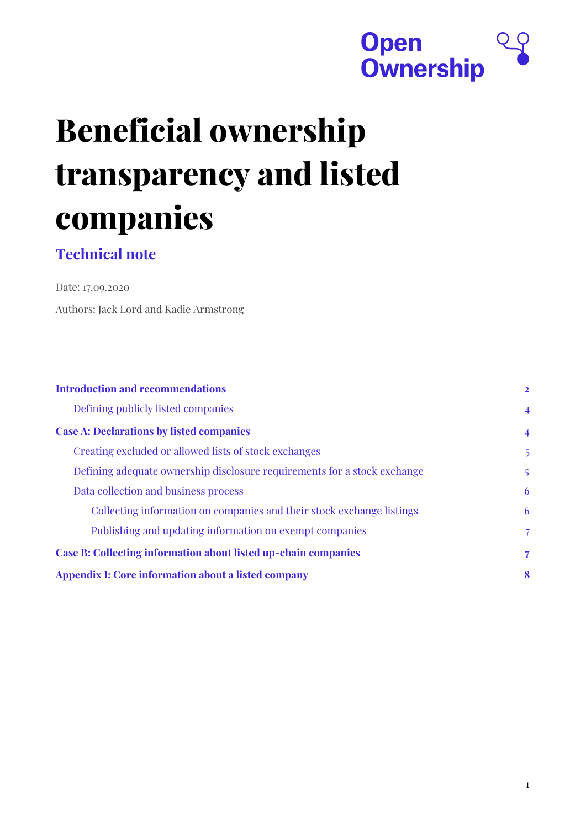

# **Beneficial ownership transparency and listed companies**

### **Technical note**

Date: 17.09.2020 Authors: Jack Lord and Kadie Armstrong

| <b>Introduction and recommendations</b>                                  | $\mathbf{2}$   |
|--------------------------------------------------------------------------|----------------|
| Defining publicly listed companies                                       | $\overline{4}$ |
| <b>Case A: Declarations by listed companies</b>                          | $\overline{4}$ |
| Creating excluded or allowed lists of stock exchanges                    | 5              |
| Defining adequate ownership disclosure requirements for a stock exchange | $\overline{5}$ |
| Data collection and business process                                     | 6              |
| Collecting information on companies and their stock exchange listings    | 6              |
| Publishing and updating information on exempt companies                  | $\overline{7}$ |
| Case B: Collecting information about listed up-chain companies           | 7              |
| Appendix I: Core information about a listed company                      | 8              |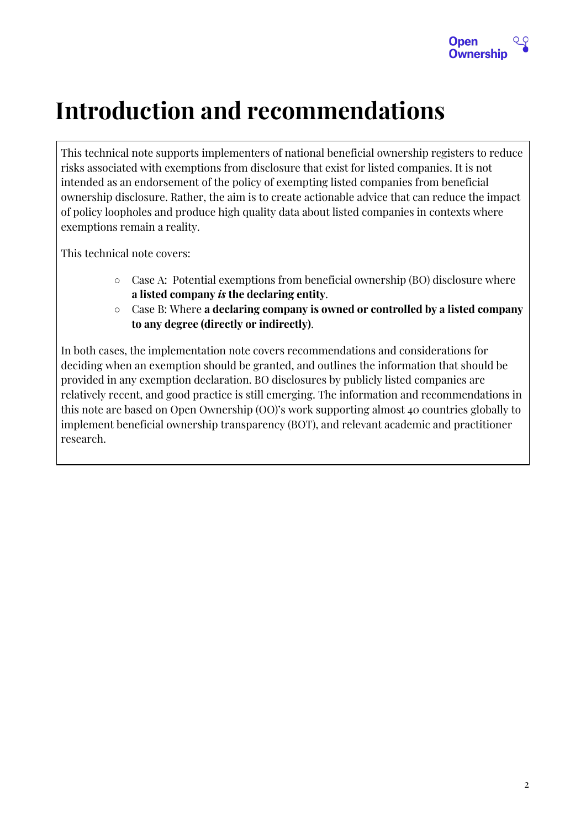

# <span id="page-1-0"></span>**Introduction and recommendations**

This technical note supports implementers of national beneficial ownership registers to reduce risks associated with exemptions from disclosure that exist for listed companies. It is not intended as an endorsement of the policy of exempting listed companies from beneficial ownership disclosure. Rather, the aim is to create actionable advice that can reduce the impact of policy loopholes and produce high quality data about listed companies in contexts where exemptions remain a reality.

This technical note covers:

- $\circ$  Case A: Potential exemptions from beneficial ownership (BO) disclosure where **a listed company** *is* **the declaring entity**.
- Case B: Where **a declaring company is owned or controlled by a listed company to any degree (directly or indirectly)**.

In both cases, the implementation note covers recommendations and considerations for deciding when an exemption should be granted, and outlines the information that should be provided in any exemption declaration. BO disclosures by publicly listed companies are relatively recent, and good practice is still emerging. The information and recommendations in this note are based on Open Ownership (OO)'s work supporting almost 40 countries globally to implement beneficial ownership transparency (BOT), and relevant academic and practitioner research.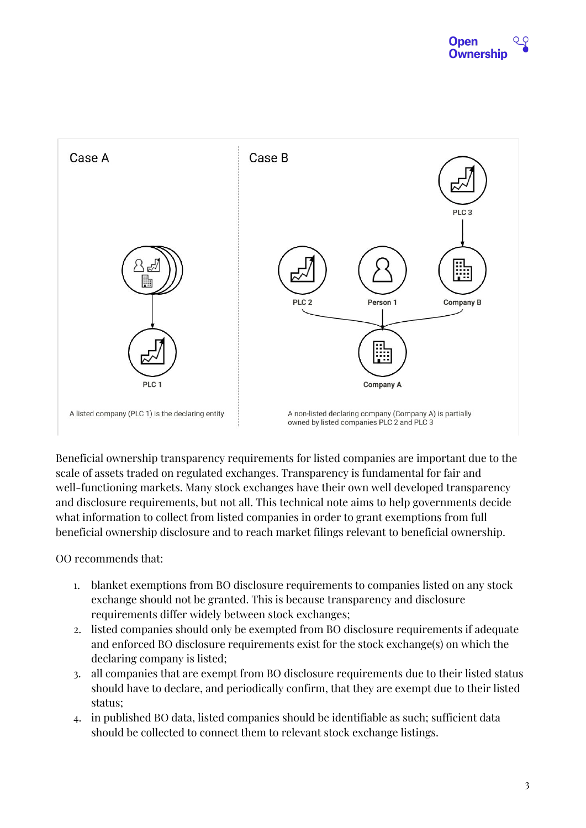

Beneficial ownership transparency requirements for listed companies are important due to the scale of assets traded on regulated exchanges. Transparency is fundamental for fair and well-functioning markets. Many stock exchanges have their own well developed transparency and disclosure requirements, but not all. This technical note aims to help governments decide what information to collect from listed companies in order to grant exemptions from full beneficial ownership disclosure and to reach market filings relevant to beneficial ownership.

OO recommends that:

- 1. blanket exemptions from BO disclosure requirements to companies listed on any stock exchange should not be granted. This is because transparency and disclosure requirements differ widely between stock exchanges;
- 2. listed companies should only be exempted from BO disclosure requirements if adequate and enforced BO disclosure requirements exist for the stock exchange(s) on which the declaring company is listed;
- 3. all companies that are exempt from BO disclosure requirements due to their listed status should have to declare, and periodically confirm, that they are exempt due to their listed status;
- 4. in published BO data, listed companies should be identifiable as such; sufficient data should be collected to connect them to relevant stock exchange listings.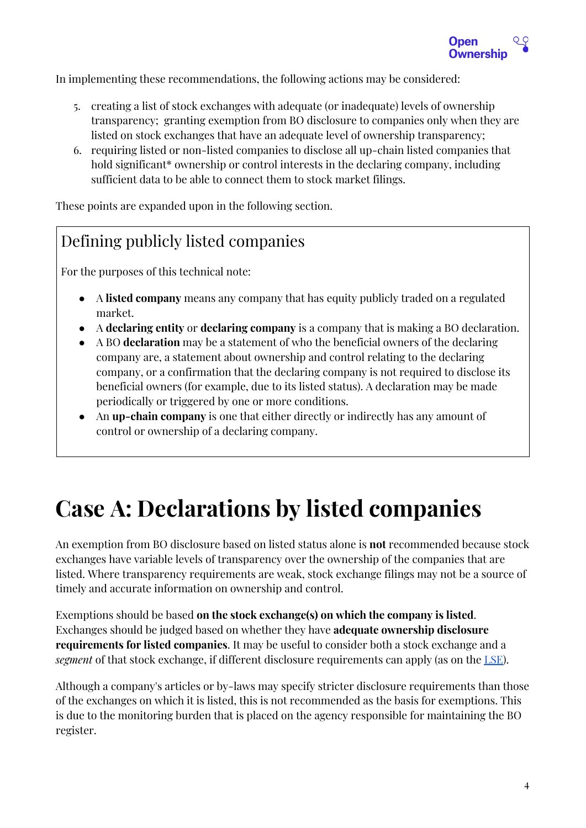

In implementing these recommendations, the following actions may be considered:

- 5. creating a list of stock exchanges with adequate (or inadequate) levels of ownership transparency; granting exemption from BO disclosure to companies only when they are listed on stock exchanges that have an adequate level of ownership transparency;
- 6. requiring listed or non-listed companies to disclose all up-chain listed companies that hold significant<sup>\*</sup> ownership or control interests in the declaring company, including sufficient data to be able to connect them to stock market filings.

These points are expanded upon in the following section.

### <span id="page-3-0"></span>Defining publicly listed companies

For the purposes of this technical note:

- A **listed company** means any company that has equity publicly traded on a regulated market.
- A **declaring entity** or **declaring company** is a company that is making a BO declaration.
- A BO **declaration** may be a statement of who the beneficial owners of the declaring company are, a statement about ownership and control relating to the declaring company, or a confirmation that the declaring company is not required to disclose its beneficial owners (for example, due to its listed status). A declaration may be made periodically or triggered by one or more conditions.
- An **up-chain company** is one that either directly or indirectly has any amount of control or ownership of a declaring company.

# <span id="page-3-1"></span>**Case A: Declarations by listed companies**

An exemption from BO disclosure based on listed status alone is **not** recommended because stock exchanges have variable levels of transparency over the ownership of the companies that are listed. Where transparency requirements are weak, stock exchange filings may not be a source of timely and accurate information on ownership and control.

Exemptions should be based **on the stock exchange(s) on which the company is listed**. Exchanges should be judged based on whether they have **adequate ownership disclosure requirements for listed companies**. It may be useful to consider both a stock exchange and a *segment* of that stock exchange, if different disclosure requirements can apply (as on the [LSE\)](https://www.lseg.com/areas-expertise/our-markets/london-stock-exchange/equities-markets/raising-equity-finance/main-market/listing-regime-and-obligations).

Although a company's articles or by-laws may specify stricter disclosure requirements than those of the exchanges on which it is listed, this is not recommended as the basis for exemptions. This is due to the monitoring burden that is placed on the agency responsible for maintaining the BO register.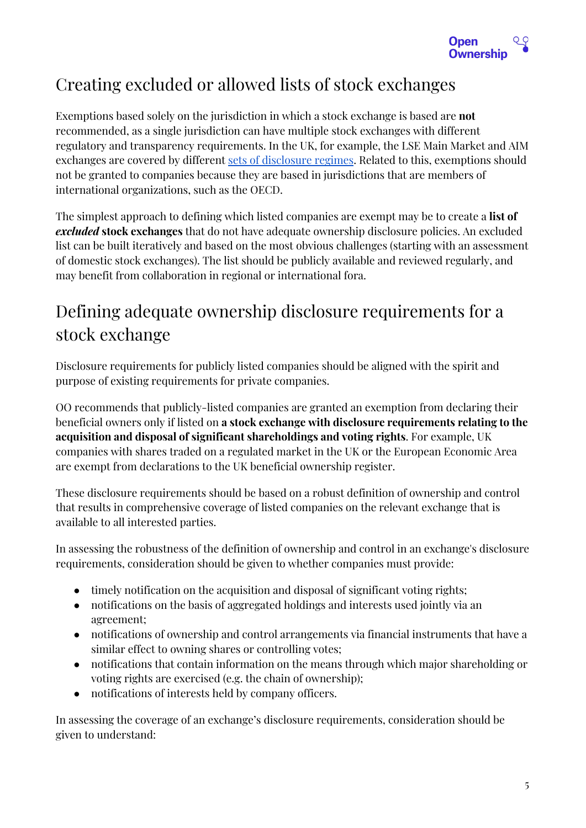

### <span id="page-4-0"></span>Creating excluded or allowed lists of stock exchanges

Exemptions based solely on the jurisdiction in which a stock exchange is based are **not** recommended, as a single jurisdiction can have multiple stock exchanges with different regulatory and transparency requirements. In the UK, for example, the LSE Main Market and AIM exchanges are covered by different sets of [disclosure](https://www.pwc.co.uk/audit-assurance/assets/pdf/continuing-obligations-for-uk-listed-companies-2017.pdf) regimes. Related to this, exemptions should not be granted to companies because they are based in jurisdictions that are members of international organizations, such as the OECD.

The simplest approach to defining which listed companies are exempt may be to create a **list of** *excluded* **stock exchanges** that do not have adequate ownership disclosure policies. An excluded list can be built iteratively and based on the most obvious challenges (starting with an assessment of domestic stock exchanges). The list should be publicly available and reviewed regularly, and may benefit from collaboration in regional or international fora.

## <span id="page-4-1"></span>Defining adequate ownership disclosure requirements for a stock exchange

Disclosure requirements for publicly listed companies should be aligned with the spirit and purpose of existing requirements for private companies.

OO recommends that publicly-listed companies are granted an exemption from declaring their beneficial owners only if listed on **a stock exchange with disclosure requirements relating to the acquisition and disposal of significant shareholdings and voting rights**. For example, UK companies with shares traded on a regulated market in the UK or the European Economic Area are exempt from declarations to the UK beneficial ownership register.

These disclosure requirements should be based on a robust definition of ownership and control that results in comprehensive coverage of listed companies on the relevant exchange that is available to all interested parties.

In assessing the robustness of the definition of ownership and control in an exchange's disclosure requirements, consideration should be given to whether companies must provide:

- timely notification on the acquisition and disposal of significant voting rights;
- notifications on the basis of aggregated holdings and interests used jointly via an agreement;
- notifications of ownership and control arrangements via financial instruments that have a similar effect to owning shares or controlling votes;
- notifications that contain information on the means through which major shareholding or voting rights are exercised (e.g. the chain of ownership);
- notifications of interests held by company officers.

In assessing the coverage of an exchange's disclosure requirements, consideration should be given to understand: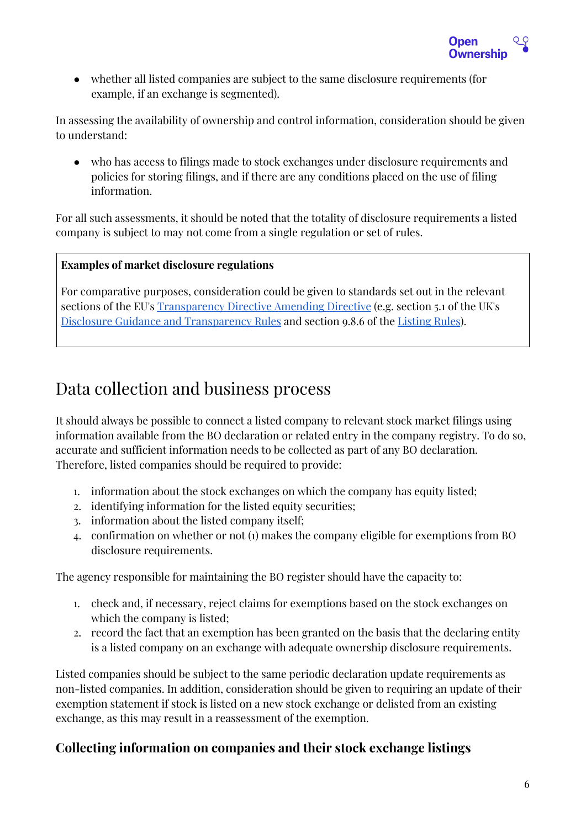

● whether all listed companies are subject to the same disclosure requirements (for example, if an exchange is segmented).

In assessing the availability of ownership and control information, consideration should be given to understand:

● who has access to filings made to stock exchanges under disclosure requirements and policies for storing filings, and if there are any conditions placed on the use of filing information.

For all such assessments, it should be noted that the totality of disclosure requirements a listed company is subject to may not come from a single regulation or set of rules.

#### **Examples of market disclosure regulations**

For comparative purposes, consideration could be given to standards set out in the relevant sections of the EU's [Transparency](https://en.wikipedia.org/wiki/Transparency_Directive) Directive Amending Directive (e.g. section 5.1 of the UK's Disclosure Guidance and [Transparency](https://www.handbook.fca.org.uk/handbook/DTR.pdf) Rules and section 9.8.6 of the [Listing](https://www.handbook.fca.org.uk/handbook/LR/9/8.html) Rules).

### <span id="page-5-0"></span>Data collection and business process

It should always be possible to connect a listed company to relevant stock market filings using information available from the BO declaration or related entry in the company registry. To do so, accurate and sufficient information needs to be collected as part of any BO declaration. Therefore, listed companies should be required to provide:

- 1. information about the stock exchanges on which the company has equity listed;
- 2. identifying information for the listed equity securities;
- 3. information about the listed company itself;
- 4. confirmation on whether or not (1) makes the company eligible for exemptions from BO disclosure requirements.

The agency responsible for maintaining the BO register should have the capacity to:

- 1. check and, if necessary, reject claims for exemptions based on the stock exchanges on which the company is listed;
- 2. record the fact that an exemption has been granted on the basis that the declaring entity is a listed company on an exchange with adequate ownership disclosure requirements.

Listed companies should be subject to the same periodic declaration update requirements as non-listed companies. In addition, consideration should be given to requiring an update of their exemption statement if stock is listed on a new stock exchange or delisted from an existing exchange, as this may result in a reassessment of the exemption.

#### <span id="page-5-1"></span>**Collecting information on companies and their stock exchange listings**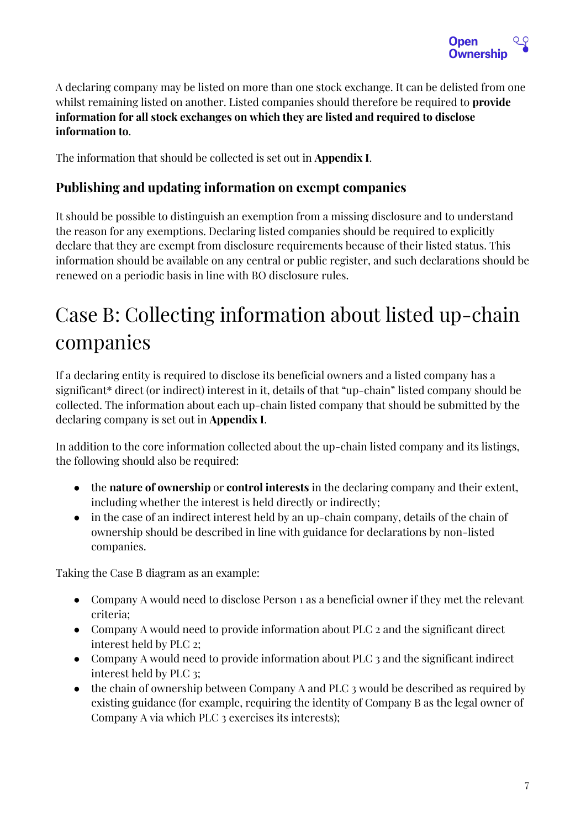

A declaring company may be listed on more than one stock exchange. It can be delisted from one whilst remaining listed on another. Listed companies should therefore be required to **provide information for all stock exchanges on which they are listed and required to disclose information to**.

The information that should be collected is set out in **Appendix I**.

#### <span id="page-6-0"></span>**Publishing and updating information on exempt companies**

It should be possible to distinguish an exemption from a missing disclosure and to understand the reason for any exemptions. Declaring listed companies should be required to explicitly declare that they are exempt from disclosure requirements because of their listed status. This information should be available on any central or public register, and such declarations should be renewed on a periodic basis in line with BO disclosure rules.

# <span id="page-6-1"></span>Case B: Collecting information about listed up-chain companies

If a declaring entity is required to disclose its beneficial owners and a listed company has a significant\* direct (or indirect) interest in it, details of that "up-chain" listed company should be collected. The information about each up-chain listed company that should be submitted by the declaring company is set out in **Appendix I**.

In addition to the core information collected about the up-chain listed company and its listings, the following should also be required:

- the **nature of ownership** or **control interests** in the declaring company and their extent, including whether the interest is held directly or indirectly;
- in the case of an indirect interest held by an up-chain company, details of the chain of ownership should be described in line with guidance for declarations by non-listed companies.

Taking the Case B diagram as an example:

- Company A would need to disclose Person 1 as a beneficial owner if they met the relevant criteria;
- Company A would need to provide information about PLC 2 and the significant direct interest held by PLC 2;
- Company A would need to provide information about PLC 3 and the significant indirect interest held by PLC 3;
- the chain of ownership between Company A and PLC 3 would be described as required by existing guidance (for example, requiring the identity of Company B as the legal owner of Company A via which PLC 3 exercises its interests);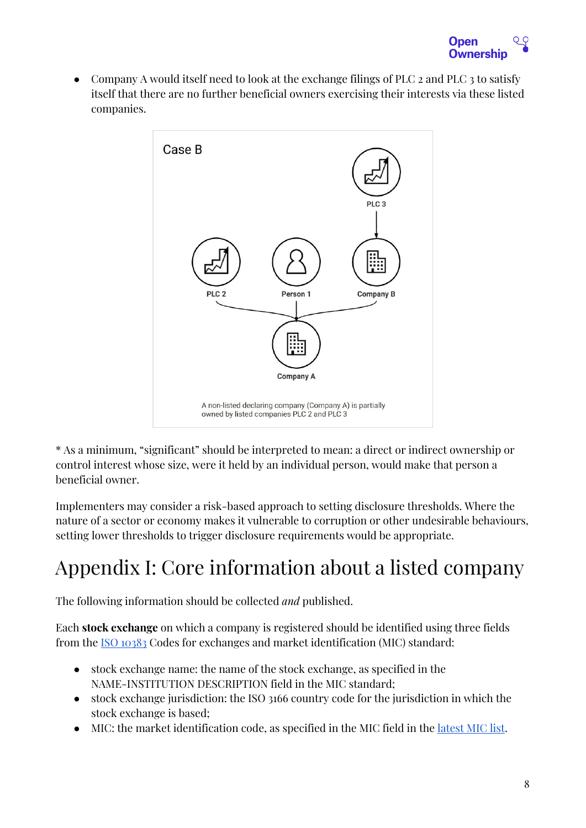

• Company A would itself need to look at the exchange filings of PLC  $_2$  and PLC  $_3$  to satisfy itself that there are no further beneficial owners exercising their interests via these listed companies.



\* As a minimum, "significant" should be interpreted to mean: a direct or indirect ownership or control interest whose size, were it held by an individual person, would make that person a beneficial owner.

Implementers may consider a risk-based approach to setting disclosure thresholds. Where the nature of a sector or economy makes it vulnerable to corruption or other undesirable behaviours, setting lower thresholds to trigger disclosure requirements would be appropriate.

# <span id="page-7-0"></span>Appendix I: Core information about a listed company

The following information should be collected *and* published.

Each **stock exchange** on which a company is registered should be identified using three fields from the [I](https://www.iso20022.org/market-identifier-codes)SO [10383](https://www.iso20022.org/market-identifier-codes) Codes for exchanges and market identification (MIC) standard:

- stock exchange name: the name of the stock exchange, as specified in the NAME-INSTITUTION DESCRIPTION field in the MIC standard;
- stock exchange jurisdiction: the ISO 3166 country code for the jurisdiction in which the stock exchange is based;
- MIC: the market identification code, as specified in the MIC field in the [latest](https://www.iso20022.org/sites/default/files/ISO10383_MIC/ISO10383_MIC.pdf) MIC list.